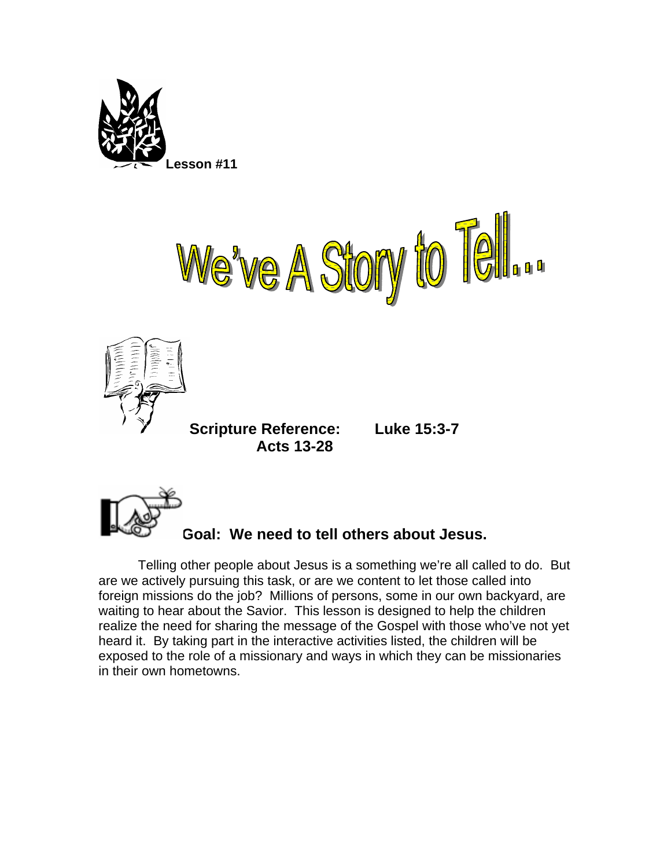





**Scripture Reference: Luke 15:3-7 Acts 13-28** 



## **Goal: We need to tell others about Jesus.**

Telling other people about Jesus is a something we're all called to do. But are we actively pursuing this task, or are we content to let those called into foreign missions do the job? Millions of persons, some in our own backyard, are waiting to hear about the Savior. This lesson is designed to help the children realize the need for sharing the message of the Gospel with those who've not yet heard it. By taking part in the interactive activities listed, the children will be exposed to the role of a missionary and ways in which they can be missionaries in their own hometowns.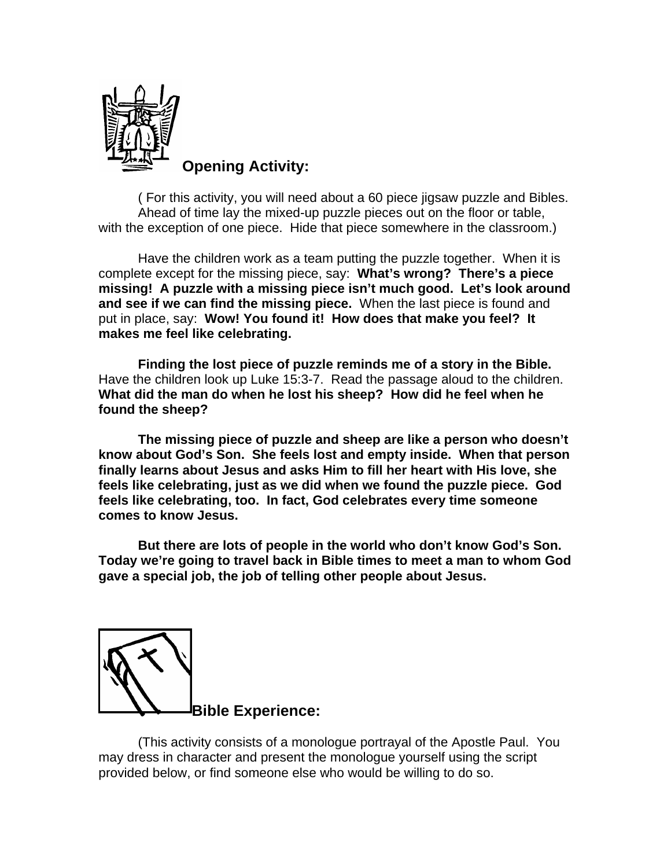

**Opening Activity:** 

( For this activity, you will need about a 60 piece jigsaw puzzle and Bibles. Ahead of time lay the mixed-up puzzle pieces out on the floor or table, with the exception of one piece. Hide that piece somewhere in the classroom.)

Have the children work as a team putting the puzzle together. When it is complete except for the missing piece, say: **What's wrong? There's a piece missing! A puzzle with a missing piece isn't much good. Let's look around and see if we can find the missing piece.** When the last piece is found and put in place, say: **Wow! You found it! How does that make you feel? It makes me feel like celebrating.** 

**Finding the lost piece of puzzle reminds me of a story in the Bible.**  Have the children look up Luke 15:3-7. Read the passage aloud to the children. **What did the man do when he lost his sheep? How did he feel when he found the sheep?** 

**The missing piece of puzzle and sheep are like a person who doesn't know about God's Son. She feels lost and empty inside. When that person finally learns about Jesus and asks Him to fill her heart with His love, she feels like celebrating, just as we did when we found the puzzle piece. God feels like celebrating, too. In fact, God celebrates every time someone comes to know Jesus.** 

**But there are lots of people in the world who don't know God's Son. Today we're going to travel back in Bible times to meet a man to whom God gave a special job, the job of telling other people about Jesus.** 



(This activity consists of a monologue portrayal of the Apostle Paul. You may dress in character and present the monologue yourself using the script provided below, or find someone else who would be willing to do so.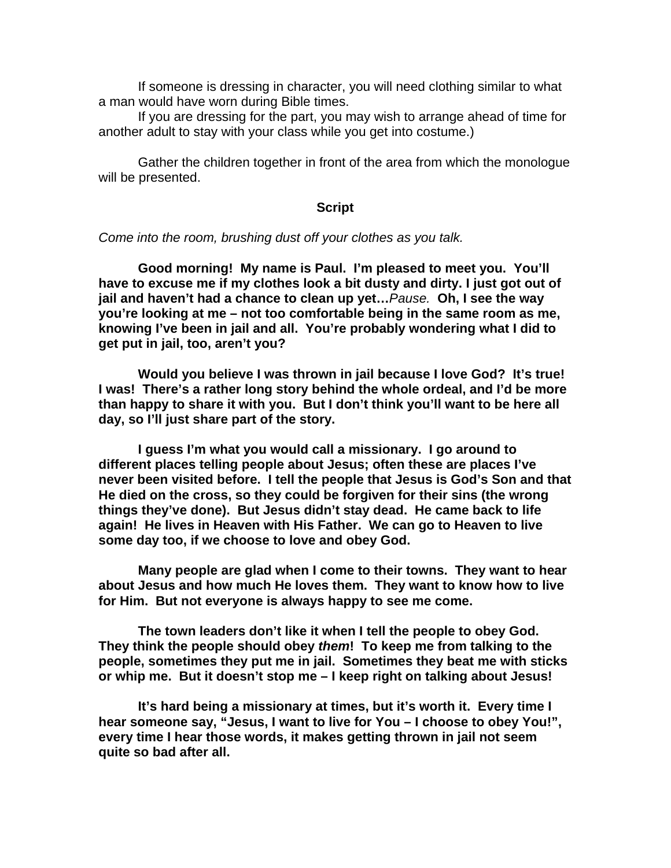If someone is dressing in character, you will need clothing similar to what a man would have worn during Bible times.

 If you are dressing for the part, you may wish to arrange ahead of time for another adult to stay with your class while you get into costume.)

 Gather the children together in front of the area from which the monologue will be presented.

## **Script**

*Come into the room, brushing dust off your clothes as you talk.* 

**Good morning! My name is Paul. I'm pleased to meet you. You'll have to excuse me if my clothes look a bit dusty and dirty. I just got out of jail and haven't had a chance to clean up yet…***Pause.* **Oh, I see the way you're looking at me – not too comfortable being in the same room as me, knowing I've been in jail and all. You're probably wondering what I did to get put in jail, too, aren't you?** 

 **Would you believe I was thrown in jail because I love God? It's true! I was! There's a rather long story behind the whole ordeal, and I'd be more than happy to share it with you. But I don't think you'll want to be here all day, so I'll just share part of the story.** 

 **I guess I'm what you would call a missionary. I go around to different places telling people about Jesus; often these are places I've never been visited before. I tell the people that Jesus is God's Son and that He died on the cross, so they could be forgiven for their sins (the wrong things they've done). But Jesus didn't stay dead. He came back to life again! He lives in Heaven with His Father. We can go to Heaven to live some day too, if we choose to love and obey God.** 

**Many people are glad when I come to their towns. They want to hear about Jesus and how much He loves them. They want to know how to live for Him. But not everyone is always happy to see me come.** 

**The town leaders don't like it when I tell the people to obey God. They think the people should obey** *them***! To keep me from talking to the people, sometimes they put me in jail. Sometimes they beat me with sticks or whip me. But it doesn't stop me – I keep right on talking about Jesus!** 

**It's hard being a missionary at times, but it's worth it. Every time I hear someone say, "Jesus, I want to live for You – I choose to obey You!", every time I hear those words, it makes getting thrown in jail not seem quite so bad after all.**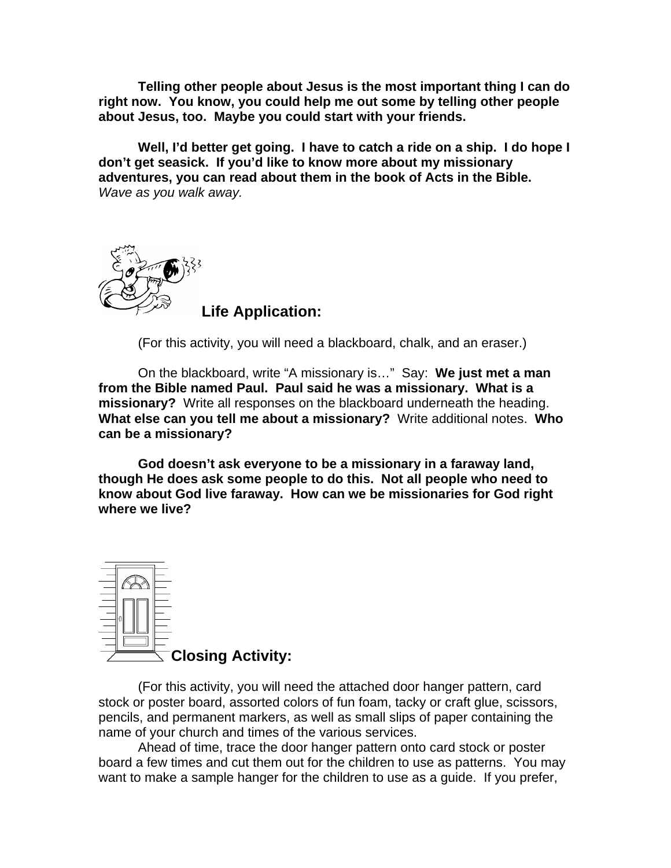**Telling other people about Jesus is the most important thing I can do right now. You know, you could help me out some by telling other people about Jesus, too. Maybe you could start with your friends.** 

**Well, I'd better get going. I have to catch a ride on a ship. I do hope I don't get seasick. If you'd like to know more about my missionary adventures, you can read about them in the book of Acts in the Bible.** *Wave as you walk away.* 



**Life Application:** 

(For this activity, you will need a blackboard, chalk, and an eraser.)

On the blackboard, write "A missionary is…" Say: **We just met a man from the Bible named Paul. Paul said he was a missionary. What is a missionary?** Write all responses on the blackboard underneath the heading. **What else can you tell me about a missionary?** Write additional notes. **Who can be a missionary?** 

**God doesn't ask everyone to be a missionary in a faraway land, though He does ask some people to do this. Not all people who need to know about God live faraway. How can we be missionaries for God right where we live?** 



(For this activity, you will need the attached door hanger pattern, card stock or poster board, assorted colors of fun foam, tacky or craft glue, scissors, pencils, and permanent markers, as well as small slips of paper containing the name of your church and times of the various services.

Ahead of time, trace the door hanger pattern onto card stock or poster board a few times and cut them out for the children to use as patterns. You may want to make a sample hanger for the children to use as a guide. If you prefer,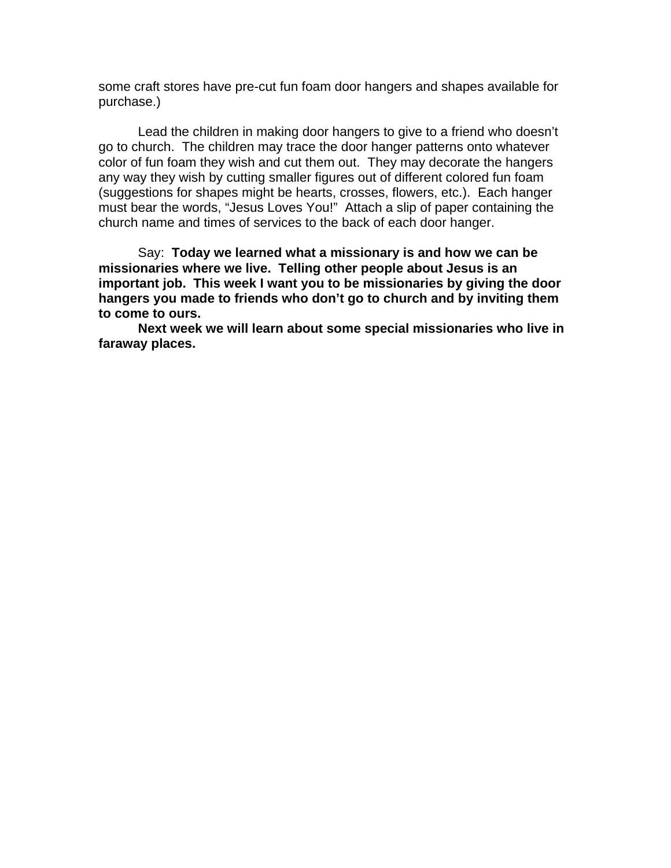some craft stores have pre-cut fun foam door hangers and shapes available for purchase.)

 Lead the children in making door hangers to give to a friend who doesn't go to church. The children may trace the door hanger patterns onto whatever color of fun foam they wish and cut them out. They may decorate the hangers any way they wish by cutting smaller figures out of different colored fun foam (suggestions for shapes might be hearts, crosses, flowers, etc.). Each hanger must bear the words, "Jesus Loves You!" Attach a slip of paper containing the church name and times of services to the back of each door hanger.

 Say: **Today we learned what a missionary is and how we can be missionaries where we live. Telling other people about Jesus is an important job. This week I want you to be missionaries by giving the door hangers you made to friends who don't go to church and by inviting them to come to ours.** 

 **Next week we will learn about some special missionaries who live in faraway places.**